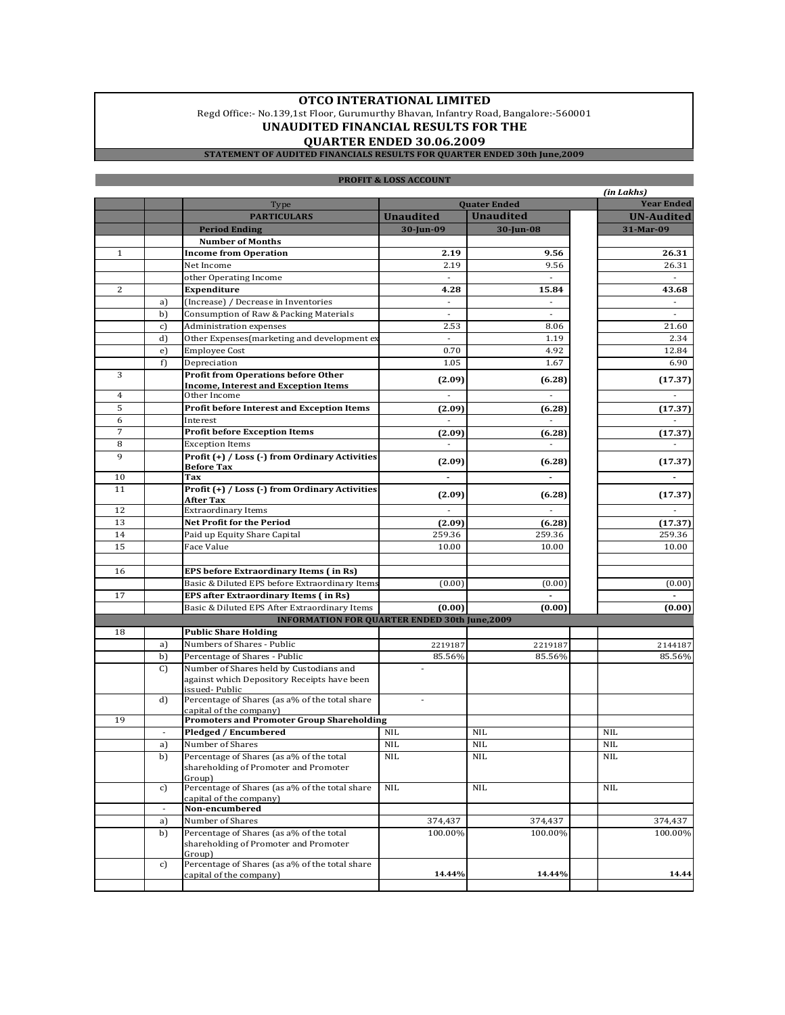### **OTCO INTERATIONAL LIMITED**

Regd Office:- No.139,1st Floor, Gurumurthy Bhavan, Infantry Road, Bangalore:-560001 **UNAUDITED FINANCIAL RESULTS FOR THE**

# **QUARTER ENDED 30.06.2009**

#### **STATEMENT OF AUDITED FINANCIALS RESULTS FOR QUARTER ENDED 30th June,2009**

|                                                      |                |                                                                          |                                  |                                  | (in Lakhs)               |  |
|------------------------------------------------------|----------------|--------------------------------------------------------------------------|----------------------------------|----------------------------------|--------------------------|--|
|                                                      |                | Type                                                                     |                                  | <b>Quater Ended</b>              | <b>Year Ended</b>        |  |
|                                                      |                | <b>PARTICULARS</b>                                                       | <b>Unaudited</b>                 | <b>Unaudited</b>                 | <b>UN-Audited</b>        |  |
|                                                      |                | <b>Period Ending</b>                                                     | 30-Jun-09                        | 30-Jun-08                        | 31-Mar-09                |  |
|                                                      |                | <b>Number of Months</b>                                                  |                                  |                                  |                          |  |
| $\mathbf{1}$                                         |                | <b>Income from Operation</b>                                             | 2.19                             | 9.56                             | 26.31                    |  |
|                                                      |                | Net Income                                                               | 2.19<br>$\overline{\phantom{a}}$ | 9.56<br>$\overline{\phantom{a}}$ | 26.31<br>$\sim$          |  |
| 2                                                    |                | other Operating Income<br>Expenditure                                    | 4.28                             | 15.84                            | 43.68                    |  |
|                                                      | a)             | (Increase) / Decrease in Inventories                                     | $\overline{\phantom{a}}$         | $\overline{\phantom{a}}$         | $\overline{\phantom{a}}$ |  |
|                                                      | b)             | Consumption of Raw & Packing Materials                                   | $\overline{\phantom{a}}$         | $\sim$                           | $\overline{\phantom{a}}$ |  |
|                                                      | c)             | Administration expenses                                                  | 2.53                             | 8.06                             | 21.60                    |  |
|                                                      | d)             | Other Expenses(marketing and development ex                              | $\blacksquare$                   | 1.19                             | 2.34                     |  |
|                                                      | e)             | <b>Employee Cost</b>                                                     | 0.70                             | 4.92                             | 12.84                    |  |
|                                                      | f)             | Depreciation                                                             | 1.05                             | 1.67                             | 6.90                     |  |
| 3                                                    |                | <b>Profit from Operations before Other</b>                               |                                  |                                  |                          |  |
|                                                      |                | <b>Income, Interest and Exception Items</b>                              | (2.09)                           | (6.28)                           | (17.37)                  |  |
| $\overline{4}$                                       |                | Other Income                                                             | $\overline{a}$                   |                                  |                          |  |
| 5                                                    |                | Profit before Interest and Exception Items                               | (2.09)                           | (6.28)                           | (17.37)                  |  |
| 6                                                    |                | Interest                                                                 |                                  |                                  |                          |  |
| 7                                                    |                | <b>Profit before Exception Items</b>                                     | (2.09)                           | (6.28)                           | (17.37)                  |  |
| 8                                                    |                | <b>Exception Items</b>                                                   | $\overline{\phantom{a}}$         |                                  |                          |  |
| 9                                                    |                | Profit (+) / Loss (-) from Ordinary Activities                           | (2.09)                           | (6.28)                           | (17.37)                  |  |
| 10                                                   |                | <b>Before Tax</b><br>Tax                                                 | $\blacksquare$                   | $\blacksquare$                   | $\blacksquare$           |  |
| 11                                                   |                | Profit (+) / Loss (-) from Ordinary Activities                           |                                  |                                  |                          |  |
|                                                      |                | After Tax                                                                | (2.09)                           | (6.28)                           | (17.37)                  |  |
| 12                                                   |                | <b>Extraordinary Items</b>                                               | $\overline{\phantom{a}}$         | $\blacksquare$                   | $\blacksquare$           |  |
| 13                                                   |                | <b>Net Profit for the Period</b>                                         | (2.09)                           | (6.28)                           | (17.37)                  |  |
| 14                                                   |                | Paid up Equity Share Capital                                             | 259.36                           | 259.36                           | 259.36                   |  |
| 15                                                   |                | Face Value                                                               | 10.00                            | 10.00                            | 10.00                    |  |
|                                                      |                |                                                                          |                                  |                                  |                          |  |
| 16                                                   |                | EPS before Extraordinary Items (in Rs)                                   |                                  |                                  |                          |  |
|                                                      |                | Basic & Diluted EPS before Extraordinary Items                           | (0.00)                           | (0.00)                           | (0.00)                   |  |
| 17                                                   |                | EPS after Extraordinary Items (in Rs)                                    |                                  |                                  |                          |  |
|                                                      |                | Basic & Diluted EPS After Extraordinary Items                            | (0.00)                           | (0.00)                           | (0.00)                   |  |
| <b>INFORMATION FOR QUARTER ENDED 30th June, 2009</b> |                |                                                                          |                                  |                                  |                          |  |
| 18                                                   |                | <b>Public Share Holding</b>                                              |                                  |                                  |                          |  |
|                                                      | a)             | Numbers of Shares - Public                                               | 2219187                          | 2219187                          | 2144187                  |  |
|                                                      | b)<br>C)       | Percentage of Shares - Public<br>Number of Shares held by Custodians and | 85.56%                           | 85.56%                           | 85.56%                   |  |
|                                                      |                | against which Depository Receipts have been                              |                                  |                                  |                          |  |
|                                                      |                | issued-Public                                                            |                                  |                                  |                          |  |
|                                                      | d)             | Percentage of Shares (as a% of the total share                           |                                  |                                  |                          |  |
|                                                      |                | capital of the company)                                                  |                                  |                                  |                          |  |
| 19                                                   |                | <b>Promoters and Promoter Group Shareholding</b>                         | <b>NIL</b>                       | <b>NIL</b>                       | <b>NIL</b>               |  |
|                                                      |                | Pledged / Encumbered<br>Number of Shares                                 | <b>NIL</b>                       | <b>NIL</b>                       | <b>NIL</b>               |  |
|                                                      | a)<br>b)       | Percentage of Shares (as a% of the total                                 | <b>NIL</b>                       | <b>NIL</b>                       | <b>NIL</b>               |  |
|                                                      |                | shareholding of Promoter and Promoter                                    |                                  |                                  |                          |  |
|                                                      |                | Group)                                                                   |                                  |                                  |                          |  |
|                                                      | c)             | Percentage of Shares (as a% of the total share                           | <b>NIL</b>                       | <b>NIL</b>                       | <b>NIL</b>               |  |
|                                                      |                | capital of the company)                                                  |                                  |                                  |                          |  |
|                                                      | $\blacksquare$ | Non-encumbered                                                           |                                  |                                  |                          |  |
|                                                      | a)             | Number of Shares<br>Percentage of Shares (as a% of the total             | 374,437<br>100.00%               | 374,437                          | 374,437<br>100.00%       |  |
|                                                      | b)             | shareholding of Promoter and Promoter                                    |                                  | 100.00%                          |                          |  |
|                                                      |                | Groun                                                                    |                                  |                                  |                          |  |
|                                                      | c)             | Percentage of Shares (as a% of the total share                           |                                  |                                  |                          |  |
|                                                      |                | capital of the company)                                                  | 14.44%                           | 14.44%                           | 14.44                    |  |
|                                                      |                |                                                                          |                                  |                                  |                          |  |

#### **PROFIT & LOSS ACCOUNT**